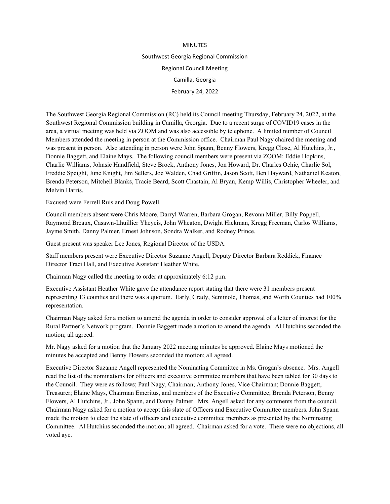## MINUTES Southwest Georgia Regional Commission Regional Council Meeting Camilla, Georgia February 24, 2022

The Southwest Georgia Regional Commission (RC) held its Council meeting Thursday, February 24, 2022, at the Southwest Regional Commission building in Camilla, Georgia. Due to a recent surge of COVID19 cases in the area, a virtual meeting was held via ZOOM and was also accessible by telephone. A limited number of Council Members attended the meeting in person at the Commission office. Chairman Paul Nagy chaired the meeting and was present in person. Also attending in person were John Spann, Benny Flowers, Kregg Close, Al Hutchins, Jr., Donnie Baggett, and Elaine Mays. The following council members were present via ZOOM: Eddie Hopkins, Charlie Williams, Johnsie Handfield, Steve Brock, Anthony Jones, Jon Howard, Dr. Charles Ochie, Charlie Sol, Freddie Speight, June Knight, Jim Sellers, Joe Walden, Chad Griffin, Jason Scott, Ben Hayward, Nathaniel Keaton, Brenda Peterson, Mitchell Blanks, Tracie Beard, Scott Chastain, Al Bryan, Kemp Willis, Christopher Wheeler, and Melvin Harris.

Excused were Ferrell Ruis and Doug Powell.

Council members absent were Chris Moore, Darryl Warren, Barbara Grogan, Revonn Miller, Billy Poppell, Raymond Breaux, Casawn-Lhuillier Yheyeis, John Wheaton, Dwight Hickman, Kregg Freeman, Carlos Williams, Jayme Smith, Danny Palmer, Ernest Johnson, Sondra Walker, and Rodney Prince.

Guest present was speaker Lee Jones, Regional Director of the USDA.

Staff members present were Executive Director Suzanne Angell, Deputy Director Barbara Reddick, Finance Director Traci Hall, and Executive Assistant Heather White.

Chairman Nagy called the meeting to order at approximately 6:12 p.m.

Executive Assistant Heather White gave the attendance report stating that there were 31 members present representing 13 counties and there was a quorum. Early, Grady, Seminole, Thomas, and Worth Counties had 100% representation.

Chairman Nagy asked for a motion to amend the agenda in order to consider approval of a letter of interest for the Rural Partner's Network program. Donnie Baggett made a motion to amend the agenda. Al Hutchins seconded the motion; all agreed.

Mr. Nagy asked for a motion that the January 2022 meeting minutes be approved. Elaine Mays motioned the minutes be accepted and Benny Flowers seconded the motion; all agreed.

Executive Director Suzanne Angell represented the Nominating Committee in Ms. Grogan's absence. Mrs. Angell read the list of the nominations for officers and executive committee members that have been tabled for 30 days to the Council. They were as follows; Paul Nagy, Chairman; Anthony Jones, Vice Chairman; Donnie Baggett, Treasurer; Elaine Mays, Chairman Emeritus, and members of the Executive Committee; Brenda Peterson, Benny Flowers, Al Hutchins, Jr., John Spann, and Danny Palmer. Mrs. Angell asked for any comments from the council. Chairman Nagy asked for a motion to accept this slate of Officers and Executive Committee members. John Spann made the motion to elect the slate of officers and executive committee members as presented by the Nominating Committee. Al Hutchins seconded the motion; all agreed. Chairman asked for a vote. There were no objections, all voted aye.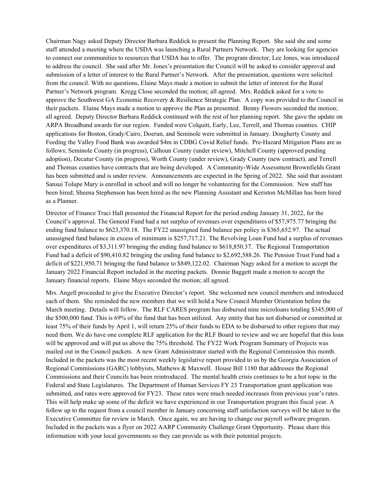Chairman Nagy asked Deputy Director Barbara Reddick to present the Planning Report. She said she and some staff attended a meeting where the USDA was launching a Rural Partners Network. They are looking for agencies to connect our communities to resources that USDA has to offer. The program director, Lee Jones, was introduced to address the council. She said after Mr. Jones's presentation the Council will be asked to consider approval and submission of a letter of interest to the Rural Partner's Network. After the presentation, questions were solicited from the council. With no questions, Elaine Mays made a motion to submit the letter of interest for the Rural Partner's Network program. Kregg Close seconded the motion; all agreed. Mrs. Reddick asked for a vote to approve the Southwest GA Economic Recovery & Resilience Strategic Plan. A copy was provided to the Council in their packets. Elaine Mays made a motion to approve the Plan as presented. Benny Flowers seconded the motion; all agreed. Deputy Director Barbara Reddick continued with the rest of her planning report. She gave the update on ARPA Broadband awards for our region. Funded were Colquitt, Early, Lee, Terrell, and Thomas counties. CHIP applications for Boston, Grady/Cairo, Doerun, and Seminole were submitted in January. Dougherty County and Feeding the Valley Food Bank was awarded \$4m in CDBG Covid Relief funds. Pre-Hazard Mitigation Plans are as follows; Seminole County (in progress), Calhoun County (under review), Mitchell County (approved pending adoption), Decatur County (in progress), Worth County (under review), Grady County (new contract), and Terrell and Thomas counties have contracts that are being developed. A Community-Wide Assessment Brownfields Grant has been submitted and is under review. Announcements are expected in the Spring of 2022. She said that assistant Sansui Tolupe Mary is enrolled in school and will no longer be volunteering for the Commission. New staff has been hired; Sheena Stephenson has been hired as the new Planning Assistant and Keriston McMillan has been hired as a Planner.

Director of Finance Traci Hall presented the Financial Report for the period ending January 31, 2022, for the Council's approval. The General Fund had a net surplus of revenues over expenditures of \$57,975.77 bringing the ending fund balance to \$623,370.18. The FY22 unassigned fund balance per policy is \$365,652.97. The actual unassigned fund balance in excess of minimum is \$257,717.21. The Revolving Loan Fund had a surplus of revenues over expenditures of \$3,311.97 bringing the ending fund balance to \$618,850.37. The Regional Transportation Fund had a deficit of \$90,410.82 bringing the ending fund balance to \$2,692,588.26. The Pension Trust Fund had a deficit of \$221,950.71 bringing the fund balance to \$849,122.02. Chairman Nagy asked for a motion to accept the January 2022 Financial Report included in the meeting packets. Donnie Baggett made a motion to accept the January financial reports. Elaine Mays seconded the motion; all agreed.

Mrs. Angell proceeded to give the Executive Director's report. She welcomed new council members and introduced each of them. She reminded the new members that we will hold a New Council Member Orientation before the March meeting. Details will follow. The RLF CARES program has disbursed nine microloans totaling \$345,000 of the \$500,000 fund. This is 69% of the fund that has been utilized. Any entity that has not disbursed or committed at least 75% of their funds by April 1, will return 25% of their funds to EDA to be disbursed to other regions that may need them. We do have one complete RLF application for the RLF Board to review and we are hopeful that this loan will be approved and will put us above the 75% threshold. The FY22 Work Program Summary of Projects was mailed out in the Council packets. A new Grant Administrator started with the Regional Commission this month. Included in the packets was the most recent weekly legislative report provided to us by the Georgia Association of Regional Commissions (GARC) lobbyists, Mathews & Maxwell. House Bill 1180 that addresses the Regional Commissions and their Councils has been reintroduced. The mental health crisis continues to be a hot topic in the Federal and State Legislatures. The Department of Human Services FY 23 Transportation grant application was submitted, and rates were approved for FY23. These rates were much needed increases from previous year's rates. This will help make up some of the deficit we have experienced in our Transportation program this fiscal year. A follow up to the request from a council member in January concerning staff satisfaction surveys will be taken to the Executive Committee for review in March. Once again, we are having to change our payroll software program. Included in the packets was a flyer on 2022 AARP Community Challenge Grant Opportunity. Please share this information with your local governments so they can provide us with their potential projects.